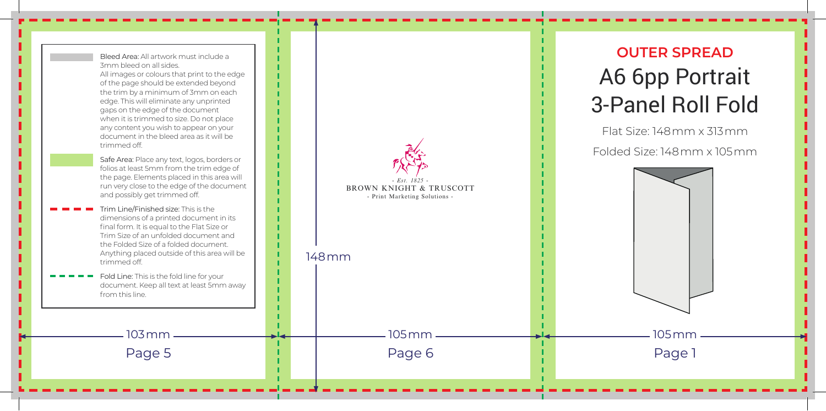